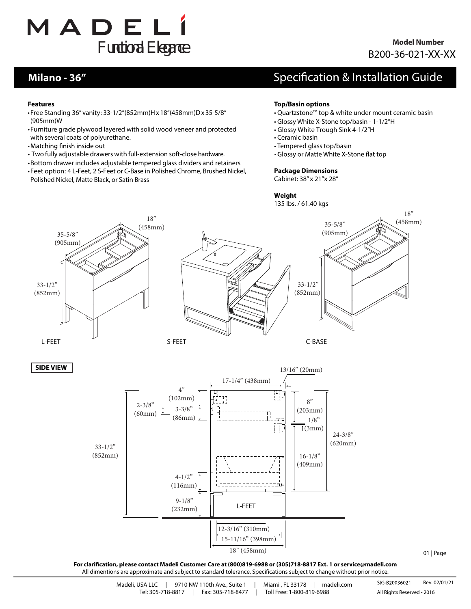

### **Model Number** B200-36-021-XX-XX

### **Milano - 36"**

## Specification & Installation Guide

#### **Features**

- •Free Standing 36" vanity :33-1/2"(852mm)Hx18"(458mm)Dx35-5/8" (905mm)W
- •Furniture grade plywood layered with solid wood veneer and protected with several coats of polyurethane.
- •Matching finish inside out
- Two fully adjustable drawers with full-extension soft-close hardware.
- •Bottom drawer includes adjustable tempered glass dividers and retainers
- •Feet option: 4 L-Feet, 2 S-Feet or C-Base in Polished Chrome, Brushed Nickel, Polished Nickel, Matte Black, or Satin Brass

#### **Top/Basin options**

- Quartzstone™ top & white under mount ceramic basin
- Glossy White X-Stone top/basin 1-1/2"H
- Glossy White Trough Sink 4-1/2"H
- Ceramic basin
- Tempered glass top/basin
- Glossy or Matte White X-Stone flat top

#### **Package Dimensions**

Cabinet: 38" x 21"x 28"

#### **Weight**

135 lbs. / 61.40 kgs

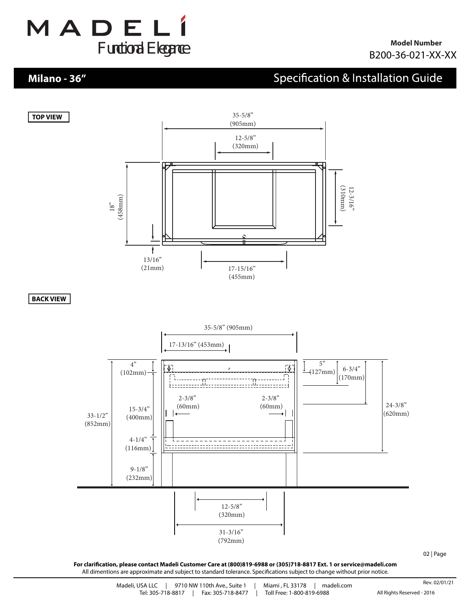

### **Milano - 36"**

**TOP VIEW**

## **Specification & Installation Guide**



**BACK VIEW**



**For clarication, please contact Madeli Customer Care at (800)819-6988 or (305)718-8817 Ext. 1 or service@madeli.com** All dimentions are approximate and subject to standard tolerance. Specifications subject to change without prior notice.

02 | Page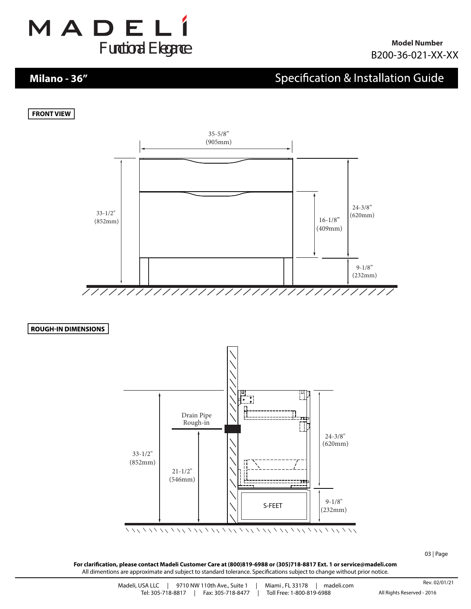

### **Milano - 36"**

## **Specification & Installation Guide**





**ROUGH-IN DIMENSIONS** 



03 | Page

For clarification, please contact Madeli Customer Care at (800)819-6988 or (305)718-8817 Ext. 1 or service@madeli.com All dimentions are approximate and subject to standard tolerance. Specifications subject to change without prior notice.